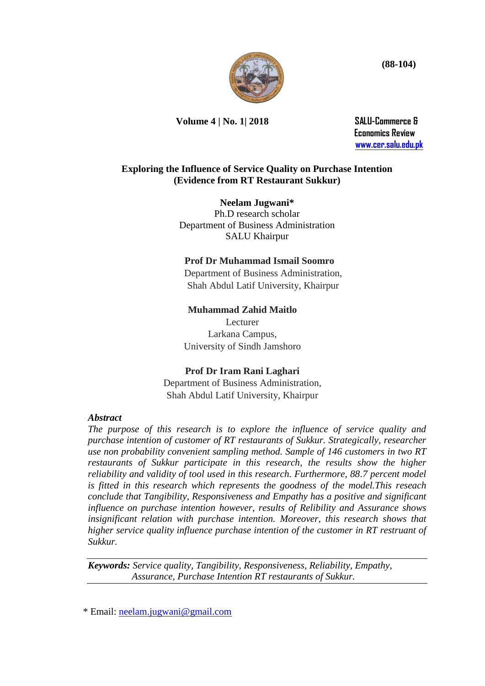

**Volume 4 | No. 1| 2018 SALU-Commerce &** 

 **Economics Review [www.cer.salu.edu.pk](http://www.cer.salu.edu.pk/)**

### **Exploring the Influence of Service Quality on Purchase Intention (Evidence from RT Restaurant Sukkur)**

**Neelam Jugwani\*** Ph.D research scholar Department of Business Administration SALU Khairpur

### **Prof Dr Muhammad Ismail Soomro**

 Department of Business Administration, Shah Abdul Latif University, Khairpur

# **Muhammad Zahid Maitlo**

Lecturer Larkana Campus, University of Sindh Jamshoro

## **Prof Dr Iram Rani Laghari**

Department of Business Administration, Shah Abdul Latif University, Khairpur

#### *Abstract*

*The purpose of this research is to explore the influence of service quality and purchase intention of customer of RT restaurants of Sukkur. Strategically, researcher use non probability convenient sampling method. Sample of 146 customers in two RT restaurants of Sukkur participate in this research, the results show the higher reliability and validity of tool used in this research. Furthermore, 88.7 percent model is fitted in this research which represents the goodness of the model.This reseach conclude that Tangibility, Responsiveness and Empathy has a positive and significant influence on purchase intention however, results of Relibility and Assurance shows insignificant relation with purchase intention. Moreover, this research shows that higher service quality influence purchase intention of the customer in RT restruant of Sukkur.*

*Keywords: Service quality, Tangibility, Responsiveness, Reliability, Empathy, Assurance, Purchase Intention RT restaurants of Sukkur.*

\* Email: [neelam.jugwani@gmail.com](mailto:neelam.jugwani@gmail.com)

 **(88-104)**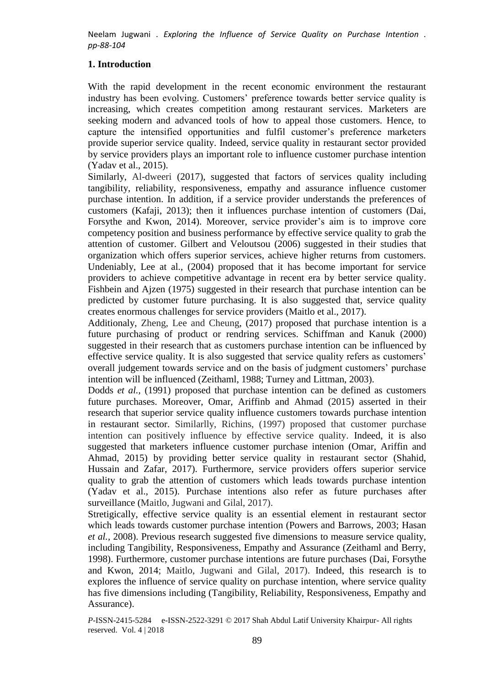## **1. Introduction**

With the rapid development in the recent economic environment the restaurant industry has been evolving. Customers' preference towards better service quality is increasing, which creates competition among restaurant services. Marketers are seeking modern and advanced tools of how to appeal those customers. Hence, to capture the intensified opportunities and fulfil customer's preference marketers provide superior service quality. Indeed, service quality in restaurant sector provided by service providers plays an important role to influence customer purchase intention (Yadav et al., 2015).

Similarly, Al-dweeri (2017), suggested that factors of services quality including tangibility, reliability, responsiveness, empathy and assurance influence customer purchase intention. In addition, if a service provider understands the preferences of customers (Kafaji, 2013); then it influences purchase intention of customers (Dai, Forsythe and Kwon, 2014). Moreover, service provider's aim is to improve core competency position and business performance by effective service quality to grab the attention of customer. Gilbert and Veloutsou (2006) suggested in their studies that organization which offers superior services, achieve higher returns from customers. Undeniably, Lee at al., (2004) proposed that it has become important for service providers to achieve competitive advantage in recent era by better service quality. Fishbein and Ajzen (1975) suggested in their research that purchase intention can be predicted by customer future purchasing. It is also suggested that, service quality creates enormous challenges for service providers (Maitlo et al., 2017).

Additionaly, Zheng, Lee and Cheung, (2017) proposed that purchase intention is a future purchasing of product or rendring services. Schiffman and Kanuk (2000) suggested in their research that as customers purchase intention can be influenced by effective service quality. It is also suggested that service quality refers as customers' overall judgement towards service and on the basis of judgment customers' purchase intention will be influenced (Zeithaml, 1988; Turney and Littman, 2003).

Dodds *et al.,* (1991) proposed that purchase intention can be defined as customers future purchases. Moreover, Omar, Ariffinb and Ahmad (2015) asserted in their research that superior service quality influence customers towards purchase intention in restaurant sector. Similarlly, Richins, (1997) proposed that customer purchase intention can positively influence by effective service quality. Indeed, it is also suggested that marketers influence customer purchase intenion (Omar, Ariffin and Ahmad, 2015) by providing better service quality in restaurant sector (Shahid, Hussain and Zafar, 2017). Furthermore, service providers offers superior service quality to grab the attention of customers which leads towards purchase intention (Yadav et al., 2015). Purchase intentions also refer as future purchases after surveillance (Maitlo, Jugwani and Gilal, 2017).

Stretigically, effective service quality is an essential element in restaurant sector which leads towards customer purchase intention (Powers and Barrows, 2003; Hasan *et al.,* 2008). Previous research suggested five dimensions to measure service quality, including Tangibility, Responsiveness, Empathy and Assurance (Zeithaml and Berry, 1998). Furthermore, customer purchase intentions are future purchases (Dai, Forsythe and Kwon, 2014; Maitlo, Jugwani and Gilal, 2017). Indeed, this research is to explores the influence of service quality on purchase intention, where service quality has five dimensions including (Tangibility, Reliability, Responsiveness, Empathy and Assurance).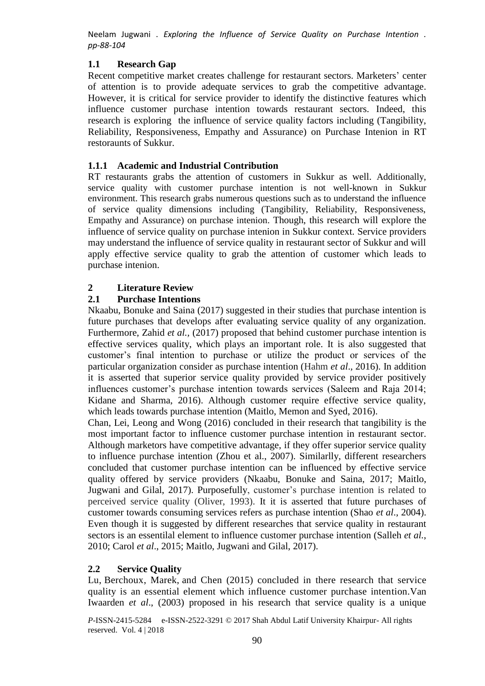## **1.1 Research Gap**

Recent competitive market creates challenge for restaurant sectors. Marketers' center of attention is to provide adequate services to grab the competitive advantage. However, it is critical for service provider to identify the distinctive features which influence customer purchase intention towards restaurant sectors. Indeed, this research is exploring the influence of service quality factors including (Tangibility, Reliability, Responsiveness, Empathy and Assurance) on Purchase Intenion in RT restoraunts of Sukkur.

## **1.1.1 Academic and Industrial Contribution**

RT restaurants grabs the attention of customers in Sukkur as well. Additionally, service quality with customer purchase intention is not well-known in Sukkur environment. This research grabs numerous questions such as to understand the influence of service quality dimensions including (Tangibility, Reliability, Responsiveness, Empathy and Assurance) on purchase intenion. Though, this research will explore the influence of service quality on purchase intenion in Sukkur context. Service providers may understand the influence of service quality in restaurant sector of Sukkur and will apply effective service quality to grab the attention of customer which leads to purchase intenion.

## **2 Literature Review**

# **2.1 Purchase Intentions**

Nkaabu, Bonuke and Saina (2017) suggested in their studies that purchase intention is future purchases that develops after evaluating service quality of any organization. Furthermore, Zahid *et al.,* (2017) proposed that behind customer purchase intention is effective services quality, which plays an important role. It is also suggested that customer's final intention to purchase or utilize the product or services of the particular organization consider as purchase intention (Hahm *et al*., 2016). In addition it is asserted that superior service quality provided by service provider positively influences customer's purchase intention towards services (Saleem and Raja 2014; Kidane and Sharma, 2016). Although customer require effective service quality, which leads towards purchase intention (Maitlo, Memon and Syed, 2016).

Chan, Lei, Leong and Wong (2016) concluded in their research that tangibility is the most important factor to influence customer purchase intention in restaurant sector. Although marketors have competitive advantage, if they offer superior service quality to influence purchase intention (Zhou et al., 2007). Similarlly, different researchers concluded that customer purchase intention can be influenced by effective service quality offered by service providers (Nkaabu, Bonuke and Saina, 2017; Maitlo, Jugwani and Gilal, 2017). Purposefully, customer's purchase intention is related to perceived service quality (Oliver, 1993). It it is asserted that future purchases of customer towards consuming services refers as purchase intention (Shao *et al*., 2004). Even though it is suggested by different researches that service quality in restaurant sectors is an essentilal element to influence customer purchase intention (Salleh *et al.*, 2010; Carol *et al*., 2015; Maitlo, Jugwani and Gilal, 2017).

## **2.2 Service Quality**

[Lu,](http://www.emeraldinsight.com/author/Lu%2C+Carol) [Berchoux,](http://www.emeraldinsight.com/author/Berchoux%2C+Celine) [Marek,](http://www.emeraldinsight.com/author/Marek%2C+Michael+W) and [Chen](http://www.emeraldinsight.com/author/Chen%2C+Brendan) (2015) concluded in there research that service quality is an essential element which influence customer purchase intention.Van Iwaarden *et al*., (2003) proposed in his research that service quality is a unique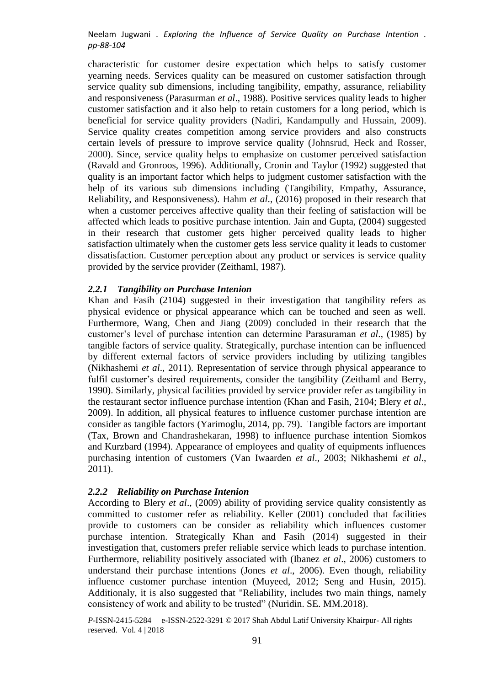characteristic for customer desire expectation which helps to satisfy customer yearning needs. Services quality can be measured on customer satisfaction through service quality sub dimensions, including tangibility, empathy, assurance, reliability and responsiveness (Parasurman *et al*., 1988). Positive services quality leads to higher customer satisfaction and it also help to retain customers for a long period, which is beneficial for service quality providers (Nadiri, Kandampully and Hussain, 2009). Service quality creates competition among service providers and also constructs certain levels of pressure to improve service quality (Johnsrud, Heck and Rosser, 2000). Since, service quality helps to emphasize on customer perceived satisfaction (Ravald and Gronroos, 1996). Additionally, Cronin and Taylor (1992) suggested that quality is an important factor which helps to judgment customer satisfaction with the help of its various sub dimensions including (Tangibility, Empathy, Assurance, Reliability, and Responsiveness). Hahm *et al*., (2016) proposed in their research that when a customer perceives affective quality than their feeling of satisfaction will be affected which leads to positive purchase intention. Jain and Gupta, (2004) suggested in their research that customer gets higher perceived quality leads to higher satisfaction ultimately when the customer gets less service quality it leads to customer dissatisfaction. Customer perception about any product or services is service quality provided by the service provider (Zeithaml, 1987).

#### *2.2.1 Tangibility on Purchase Intenion*

Khan and Fasih (2104) suggested in their investigation that tangibility refers as physical evidence or physical appearance which can be touched and seen as well. Furthermore, Wang, Chen and Jiang (2009) concluded in their research that the customer's level of purchase intention can determine Parasuraman *et al*., (1985) by tangible factors of service quality. Strategically, purchase intention can be influenced by different external factors of service providers including by utilizing tangibles (Nikhashemi *et al*., 2011). Representation of service through physical appearance to fulfil customer's desired requirements, consider the tangibility (Zeithaml and Berry, 1990). Similarly, physical facilities provided by service provider refer as tangibility in the restaurant sector influence purchase intention (Khan and Fasih, 2104; Blery *et al*., 2009). In addition, all physical features to influence customer purchase intention are consider as tangible factors (Yarimoglu, 2014, pp. 79). Tangible factors are important (Tax, Brown and Chandrashekaran, 1998) to influence purchase intention Siomkos and Kurzbard (1994). Appearance of employees and quality of equipments influences purchasing intention of customers (Van Iwaarden *et al*., 2003; Nikhashemi *et al*., 2011).

#### *2.2.2 Reliability on Purchase Intenion*

According to Blery *et al*., (2009) ability of providing service quality consistently as committed to customer refer as reliability. Keller (2001) concluded that facilities provide to customers can be consider as reliability which influences customer purchase intention. Strategically Khan and Fasih (2014) suggested in their investigation that, customers prefer reliable service which leads to purchase intention. Furthermore, reliability positively associated with (Ibanez *et al*., 2006) customers to understand their purchase intentions (Jones *et al*., 2006). Even though, reliability influence customer purchase intention (Muyeed, 2012; Seng and Husin, 2015). Additionaly, it is also suggested that "Reliability, includes two main things, namely consistency of work and ability to be trusted" (Nuridin. SE. MM.2018).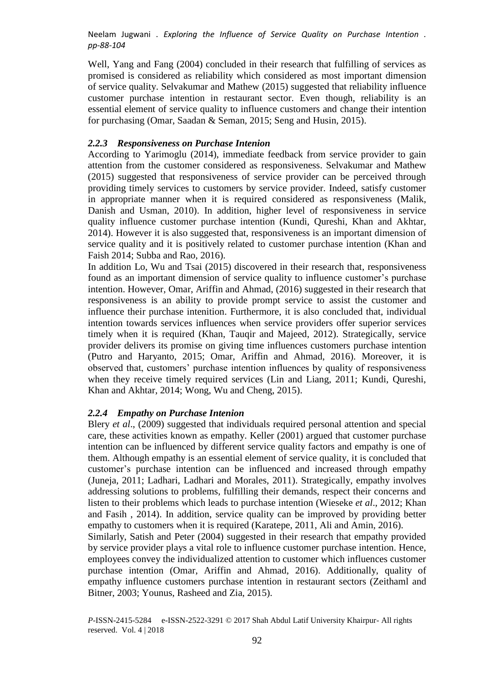Well, Yang and Fang (2004) concluded in their research that fulfilling of services as promised is considered as reliability which considered as most important dimension of service quality. Selvakumar and Mathew (2015) suggested that reliability influence customer purchase intention in restaurant sector. Even though, reliability is an essential element of service quality to influence customers and change their intention for purchasing (Omar, Saadan & Seman, 2015; Seng and Husin, 2015).

#### *2.2.3 Responsiveness on Purchase Intenion*

According to Yarimoglu (2014), immediate feedback from service provider to gain attention from the customer considered as responsiveness. Selvakumar and Mathew (2015) suggested that responsiveness of service provider can be perceived through providing timely services to customers by service provider. Indeed, satisfy customer in appropriate manner when it is required considered as responsiveness (Malik, Danish and Usman, 2010). In addition, higher level of responsiveness in service quality influence customer purchase intention (Kundi, Qureshi, Khan and Akhtar, 2014). However it is also suggested that, responsiveness is an important dimension of service quality and it is positively related to customer purchase intention (Khan and Faish 2014; Subba and Rao, 2016).

In addition Lo, Wu and Tsai (2015) discovered in their research that, responsiveness found as an important dimension of service quality to influence customer's purchase intention. However, Omar, Ariffin and Ahmad, (2016) suggested in their research that responsiveness is an ability to provide prompt service to assist the customer and influence their purchase intenition. Furthermore, it is also concluded that, individual intention towards services influences when service providers offer superior services timely when it is required (Khan, Tauqir and Majeed, 2012). Strategically, service provider delivers its promise on giving time influences customers purchase intention (Putro and Haryanto, 2015; Omar, Ariffin and Ahmad, 2016). Moreover, it is observed that, customers' purchase intention influences by quality of responsiveness when they receive timely required services (Lin and Liang, 2011; Kundi, Qureshi, Khan and Akhtar, 2014; Wong, Wu and Cheng, 2015).

#### *2.2.4 Empathy on Purchase Intenion*

Blery *et al*., (2009) suggested that individuals required personal attention and special care, these activities known as empathy. Keller (2001) argued that customer purchase intention can be influenced by different service quality factors and empathy is one of them. Although empathy is an essential element of service quality, it is concluded that customer's purchase intention can be influenced and increased through empathy (Juneja, 2011; Ladhari, Ladhari and Morales, 2011). Strategically, empathy involves addressing solutions to problems, fulfilling their demands, respect their concerns and listen to their problems which leads to purchase intention (Wieseke *et al*., 2012; Khan and Fasih , 2014). In addition, service quality can be improved by providing better empathy to customers when it is required (Karatepe, 2011, Ali and Amin, 2016).

Similarly, Satish and Peter (2004) suggested in their research that empathy provided by service provider plays a vital role to influence customer purchase intention. Hence, employees convey the individualized attention to customer which influences customer purchase intention (Omar, Ariffin and Ahmad, 2016). Additionally, quality of empathy influence customers purchase intention in restaurant sectors (Zeithaml and Bitner, 2003; Younus, Rasheed and Zia, 2015).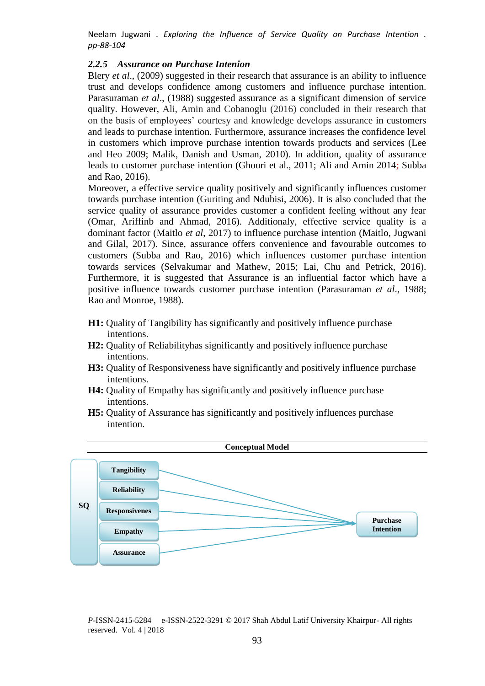#### *2.2.5 Assurance on Purchase Intenion*

Blery *et al*., (2009) suggested in their research that assurance is an ability to influence trust and develops confidence among customers and influence purchase intention. Parasuraman *et al*., (1988) suggested assurance as a significant dimension of service quality. However, Ali, Amin and Cobanoglu (2016) concluded in their research that on the basis of employees' courtesy and knowledge develops assurance in customers and leads to purchase intention. Furthermore, assurance increases the confidence level in customers which improve purchase intention towards products and services (Lee and Heo 2009; Malik, Danish and Usman, 2010). In addition, quality of assurance leads to customer purchase intention (Ghouri et al., 2011; Ali and Amin 2014; Subba and Rao, 2016).

Moreover, a effective service quality positively and significantly influences customer towards purchase intention (Guriting and Ndubisi, 2006). It is also concluded that the service quality of assurance provides customer a confident feeling without any fear (Omar, Ariffinb and Ahmad, 2016). Additionaly, effective service quality is a dominant factor (Maitlo *et al*, 2017) to influence purchase intention (Maitlo, Jugwani and Gilal, 2017). Since, assurance offers convenience and favourable outcomes to customers (Subba and Rao, 2016) which influences customer purchase intention towards services (Selvakumar and Mathew, 2015; Lai, Chu and Petrick, 2016). Furthermore, it is suggested that Assurance is an influential factor which have a positive influence towards customer purchase intention (Parasuraman *et al*., 1988; Rao and Monroe, 1988).

- **H1:** Quality of Tangibility has significantly and positively influence purchase intentions.
- **H2:** Quality of Reliabilityhas significantly and positively influence purchase intentions.
- **H3:** Quality of Responsiveness have significantly and positively influence purchase intentions.
- **H4:** Quality of Empathy has significantly and positively influence purchase intentions.
- **H5:** Quality of Assurance has significantly and positively influences purchase intention.

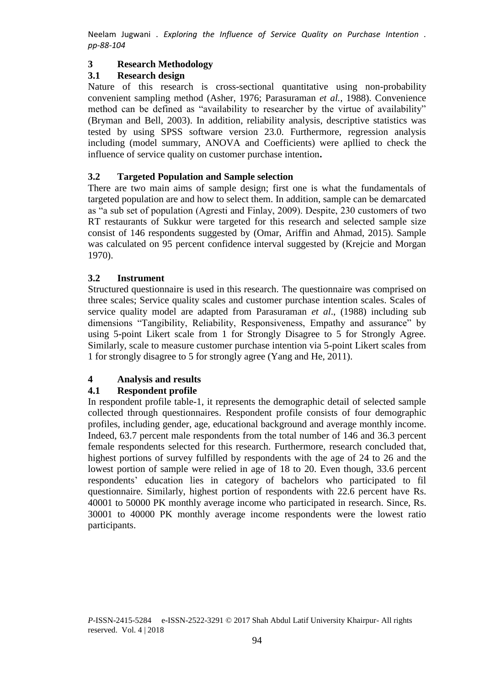# **3 Research Methodology**

# **3.1 Research design**

Nature of this research is cross-sectional quantitative using non-probability convenient sampling method (Asher, 1976; Parasuraman *et al.*, 1988). Convenience method can be defined as "availability to researcher by the virtue of availability" (Bryman and Bell, 2003). In addition, reliability analysis, descriptive statistics was tested by using SPSS software version 23.0. Furthermore, regression analysis including (model summary, ANOVA and Coefficients) were apllied to check the influence of service quality on customer purchase intention**.** 

# **3.2 Targeted Population and Sample selection**

There are two main aims of sample design; first one is what the fundamentals of targeted population are and how to select them. In addition, sample can be demarcated as "a sub set of population (Agresti and Finlay, 2009). Despite, 230 customers of two RT restaurants of Sukkur were targeted for this research and selected sample size consist of 146 respondents suggested by (Omar, Ariffin and Ahmad, 2015). Sample was calculated on 95 percent confidence interval suggested by (Krejcie and Morgan 1970).

## **3.2 Instrument**

Structured questionnaire is used in this research. The questionnaire was comprised on three scales; Service quality scales and customer purchase intention scales. Scales of service quality model are adapted from Parasuraman *et al*., (1988) including sub dimensions "Tangibility, Reliability, Responsiveness, Empathy and assurance" by using 5-point Likert scale from 1 for Strongly Disagree to 5 for Strongly Agree. Similarly, scale to measure customer purchase intention via 5-point Likert scales from 1 for strongly disagree to 5 for strongly agree (Yang and He, 2011).

## **4 Analysis and results**

# **4.1 Respondent profile**

In respondent profile table-1, it represents the demographic detail of selected sample collected through questionnaires. Respondent profile consists of four demographic profiles, including gender, age, educational background and average monthly income. Indeed, 63.7 percent male respondents from the total number of 146 and 36.3 percent female respondents selected for this research. Furthermore, research concluded that, highest portions of survey fulfilled by respondents with the age of 24 to 26 and the lowest portion of sample were relied in age of 18 to 20. Even though, 33.6 percent respondents' education lies in category of bachelors who participated to fil questionnaire. Similarly, highest portion of respondents with 22.6 percent have Rs. 40001 to 50000 PK monthly average income who participated in research. Since, Rs. 30001 to 40000 PK monthly average income respondents were the lowest ratio participants.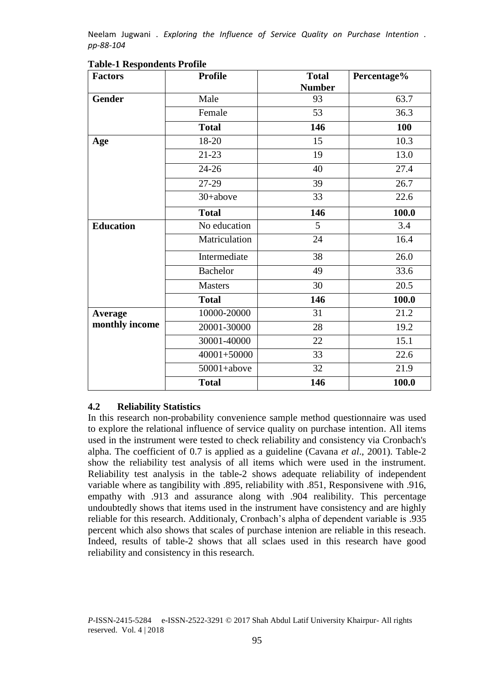| <b>Factors</b>   | <b>Profile</b>  |     | Percentage% |  |
|------------------|-----------------|-----|-------------|--|
| <b>Gender</b>    | Male            | 93  | 63.7        |  |
|                  | Female          | 53  | 36.3        |  |
|                  | <b>Total</b>    | 146 | <b>100</b>  |  |
| Age              | 18-20           | 15  | 10.3        |  |
|                  | $21 - 23$       | 19  | 13.0        |  |
|                  | $24 - 26$       | 40  | 27.4        |  |
|                  | 27-29           | 39  | 26.7        |  |
|                  | 30+above        | 33  | 22.6        |  |
|                  | <b>Total</b>    | 146 | 100.0       |  |
| <b>Education</b> | No education    | 5   | 3.4         |  |
|                  | Matriculation   | 24  | 16.4        |  |
|                  | Intermediate    | 38  | 26.0        |  |
|                  | <b>Bachelor</b> |     | 33.6        |  |
|                  | <b>Masters</b>  |     | 20.5        |  |
|                  | <b>Total</b>    | 146 | 100.0       |  |
| Average          | 10000-20000     | 31  | 21.2        |  |
| monthly income   | 20001-30000     | 28  | 19.2        |  |
|                  | 30001-40000     | 22  | 15.1        |  |
|                  | $40001 + 50000$ | 33  | 22.6        |  |
| $50001 + above$  |                 | 32  | 21.9        |  |
|                  | <b>Total</b>    | 146 | 100.0       |  |

### **Table-1 Respondents Profile**

## **4.2 Reliability Statistics**

In this research non-probability convenience sample method questionnaire was used to explore the relational influence of service quality on purchase intention. All items used in the instrument were tested to check reliability and consistency via Cronbach's alpha. The coefficient of 0.7 is applied as a guideline (Cavana *et al*., 2001). Table-2 show the reliability test analysis of all items which were used in the instrument. Reliability test analysis in the table-2 shows adequate reliability of independent variable where as tangibility with .895, reliability with .851, Responsivene with .916, empathy with .913 and assurance along with .904 realibility. This percentage undoubtedly shows that items used in the instrument have consistency and are highly reliable for this research. Additionaly, Cronbach's alpha of dependent variable is .935 percent which also shows that scales of purchase intenion are reliable in this reseach. Indeed, results of table-2 shows that all sclaes used in this research have good reliability and consistency in this research.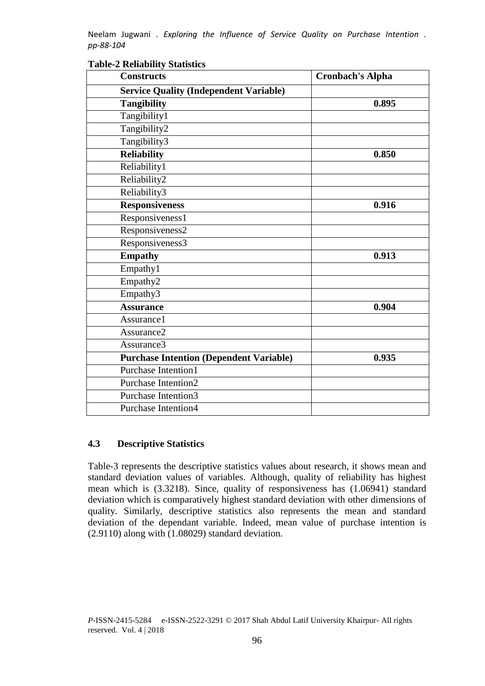| r adic-2 Kenadinty Blaustics<br><b>Constructs</b> | <b>Cronbach's Alpha</b> |
|---------------------------------------------------|-------------------------|
| <b>Service Quality (Independent Variable)</b>     |                         |
| <b>Tangibility</b>                                | 0.895                   |
| Tangibility1                                      |                         |
| Tangibility2                                      |                         |
| Tangibility3                                      |                         |
| <b>Reliability</b>                                | 0.850                   |
| Reliability1                                      |                         |
| Reliability2                                      |                         |
| Reliability3                                      |                         |
| <b>Responsiveness</b>                             | 0.916                   |
| Responsiveness1                                   |                         |
| Responsiveness2                                   |                         |
| Responsiveness3                                   |                         |
| <b>Empathy</b>                                    | 0.913                   |
| Empathy1                                          |                         |
| Empathy2                                          |                         |
| Empathy3                                          |                         |
| <b>Assurance</b>                                  | 0.904                   |
| Assurance1                                        |                         |
| Assurance <sub>2</sub>                            |                         |
| Assurance3                                        |                         |
| <b>Purchase Intention (Dependent Variable)</b>    | 0.935                   |
| Purchase Intention1                               |                         |
| Purchase Intention2                               |                         |
| Purchase Intention3                               |                         |
| <b>Purchase Intention4</b>                        |                         |

#### **Table-2 Reliability Statistics**

## **4.3 Descriptive Statistics**

Table-3 represents the descriptive statistics values about research, it shows mean and standard deviation values of variables. Although, quality of reliability has highest mean which is (3.3218). Since, quality of responsiveness has (1.06941) standard deviation which is comparatively highest standard deviation with other dimensions of quality. Similarly, descriptive statistics also represents the mean and standard deviation of the dependant variable. Indeed, mean value of purchase intention is (2.9110) along with (1.08029) standard deviation.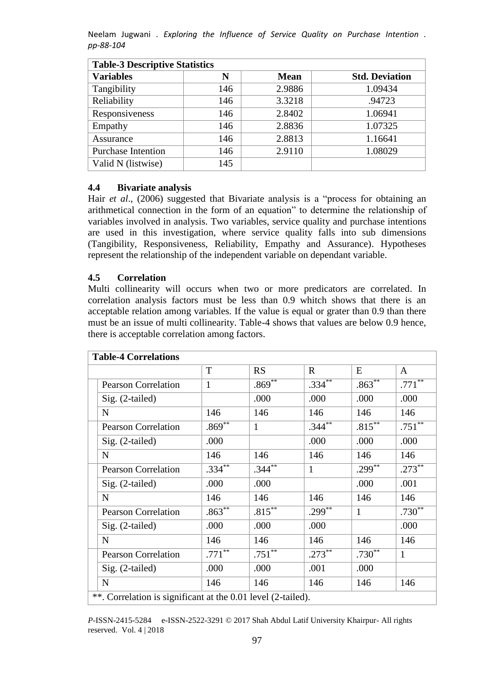| <b>Table-3 Descriptive Statistics</b> |     |             |                       |  |  |  |  |
|---------------------------------------|-----|-------------|-----------------------|--|--|--|--|
| <b>Variables</b>                      | N   | <b>Mean</b> | <b>Std. Deviation</b> |  |  |  |  |
| Tangibility                           | 146 | 2.9886      | 1.09434               |  |  |  |  |
| Reliability                           | 146 | 3.3218      | .94723                |  |  |  |  |
| Responsiveness                        | 146 | 2.8402      | 1.06941               |  |  |  |  |
| Empathy                               | 146 | 2.8836      | 1.07325               |  |  |  |  |
| Assurance                             | 146 | 2.8813      | 1.16641               |  |  |  |  |
| <b>Purchase Intention</b>             | 146 | 2.9110      | 1.08029               |  |  |  |  |
| Valid N (listwise)                    | 145 |             |                       |  |  |  |  |

#### **4.4 Bivariate analysis**

Hair *et al*., (2006) suggested that Bivariate analysis is a "process for obtaining an arithmetical connection in the form of an equation" to determine the relationship of variables involved in analysis. Two variables, service quality and purchase intentions are used in this investigation, where service quality falls into sub dimensions (Tangibility, Responsiveness, Reliability, Empathy and Assurance). Hypotheses represent the relationship of the independent variable on dependant variable.

#### **4.5 Correlation**

Multi collinearity will occurs when two or more predicators are correlated. In correlation analysis factors must be less than 0.9 whitch shows that there is an acceptable relation among variables. If the value is equal or grater than 0.9 than there must be an issue of multi collinearity. Table-4 shows that values are below 0.9 hence, there is acceptable correlation among factors.

| <b>Table-4 Correlations</b> |                                                              |              |              |                        |                    |                    |  |
|-----------------------------|--------------------------------------------------------------|--------------|--------------|------------------------|--------------------|--------------------|--|
|                             |                                                              | T            | RS           | $\mathbf R$            | E                  | A                  |  |
|                             | <b>Pearson Correlation</b>                                   | $\mathbf{1}$ | $.869***$    | $.334***$              | $.863***$          | $.771***$          |  |
|                             | Sig. (2-tailed)                                              |              | .000         | .000                   | .000               | .000               |  |
|                             | $\mathbf N$                                                  | 146          | 146          | 146                    | 146                | 146                |  |
|                             | <b>Pearson Correlation</b>                                   | $.869***$    | $\mathbf{1}$ | $.344^{**}$            | $.815***$          | $.751**$           |  |
|                             | Sig. (2-tailed)                                              | .000         |              | .000                   | .000               | .000               |  |
|                             | $\mathbf N$                                                  | 146          | 146          | 146                    | 146                | 146                |  |
|                             | <b>Pearson Correlation</b>                                   | $.334***$    | $.344***$    | $\mathbf{1}$           | $.299***$          | $.273***$          |  |
|                             | Sig. (2-tailed)                                              | .000         | .000         |                        | .000               | .001               |  |
|                             | ${\bf N}$                                                    | 146          | 146          | 146                    | 146                | 146                |  |
|                             | <b>Pearson Correlation</b>                                   | $.863***$    | $.815***$    | $.299^{\overline{3*}}$ | $\mathbf{1}$       | .730 <sup>**</sup> |  |
|                             | Sig. (2-tailed)                                              | .000         | .000         | .000                   |                    | .000               |  |
|                             | $\mathbf N$                                                  | 146          | 146          | 146                    | 146                | 146                |  |
|                             | <b>Pearson Correlation</b>                                   | $.771***$    | $.751***$    | $.273***$              | .730 <sup>**</sup> | $\mathbf{1}$       |  |
|                             | $Sig. (2-tailed)$                                            | .000         | .000         | .001                   | .000               |                    |  |
|                             | ${\bf N}$                                                    | 146          | 146          | 146                    | 146                | 146                |  |
|                             | **. Correlation is significant at the 0.01 level (2-tailed). |              |              |                        |                    |                    |  |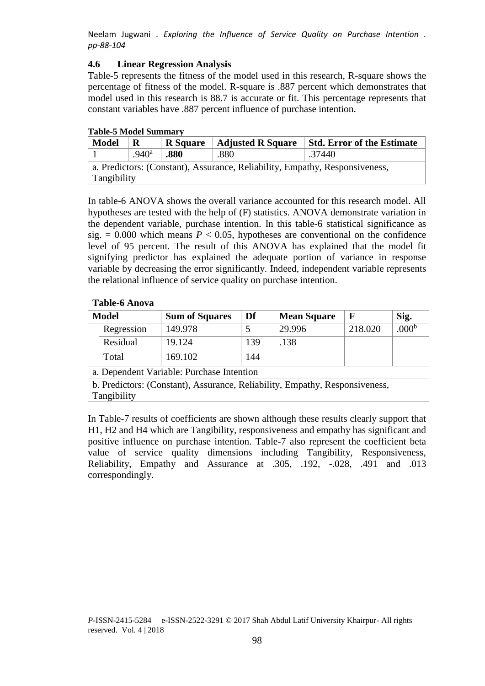### **4.6 Linear Regression Analysis**

Table-5 represents the fitness of the model used in this research, R-square shows the percentage of fitness of the model. R-square is .887 percent which demonstrates that model used in this research is 88.7 is accurate or fit. This percentage represents that constant variables have .887 percent influence of purchase intention.

| <b>Model</b>                                                                | R                 | <b>R</b> Square | <b>Adjusted R Square</b> | <b>Std. Error of the Estimate</b> |  |  |
|-----------------------------------------------------------------------------|-------------------|-----------------|--------------------------|-----------------------------------|--|--|
|                                                                             | .940 <sup>a</sup> | .880            | .880                     | .37440                            |  |  |
| a. Predictors: (Constant), Assurance, Reliability, Empathy, Responsiveness, |                   |                 |                          |                                   |  |  |
| Tangibility                                                                 |                   |                 |                          |                                   |  |  |

In table-6 ANOVA shows the overall variance accounted for this research model. All hypotheses are tested with the help of (F) statistics. ANOVA demonstrate variation in the dependent variable, purchase intention. In this table-6 statistical significance as sig.  $= 0.000$  which means  $P < 0.05$ , hypotheses are conventional on the confidence level of 95 percent. The result of this ANOVA has explained that the model fit signifying predictor has explained the adequate portion of variance in response variable by decreasing the error significantly. Indeed, independent variable represents the relational influence of service quality on purchase intention.

| <b>Table-6 Anova</b>                                                        |            |                       |     |                    |             |                   |  |
|-----------------------------------------------------------------------------|------------|-----------------------|-----|--------------------|-------------|-------------------|--|
| <b>Model</b>                                                                |            | <b>Sum of Squares</b> | Df  | <b>Mean Square</b> | $\mathbf F$ | Sig.              |  |
|                                                                             | Regression | 149.978               | 5   | 29.996             | 218.020     | .000 <sup>b</sup> |  |
|                                                                             | Residual   | 19.124                | 139 | .138               |             |                   |  |
|                                                                             | Total      | 169.102               | 144 |                    |             |                   |  |
| a. Dependent Variable: Purchase Intention                                   |            |                       |     |                    |             |                   |  |
| b. Predictors: (Constant), Assurance, Reliability, Empathy, Responsiveness, |            |                       |     |                    |             |                   |  |
| Tangibility                                                                 |            |                       |     |                    |             |                   |  |

In Table-7 results of coefficients are shown although these results clearly support that H1, H2 and H4 which are Tangibility, responsiveness and empathy has significant and positive influence on purchase intention. Table-7 also represent the coefficient beta value of service quality dimensions including Tangibility, Responsiveness, Reliability, Empathy and Assurance at .305, .192, -.028, .491 and .013 correspondingly.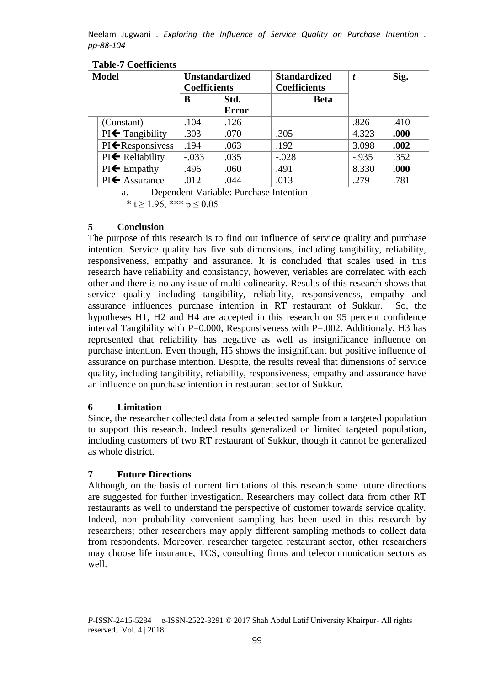| <b>Table-7 Coefficients</b>                  |                                              |              |                                            |                  |      |  |  |
|----------------------------------------------|----------------------------------------------|--------------|--------------------------------------------|------------------|------|--|--|
| <b>Model</b>                                 | <b>Unstandardized</b><br><b>Coefficients</b> |              | <b>Standardized</b><br><b>Coefficients</b> | $\boldsymbol{t}$ | Sig. |  |  |
|                                              | B                                            | Std.         | <b>Beta</b>                                |                  |      |  |  |
|                                              |                                              | <b>Error</b> |                                            |                  |      |  |  |
| (Constant)                                   | .104                                         | .126         |                                            | .826             | .410 |  |  |
| $PI \leftarrow$ Tangibility                  | .303                                         | .070         | .305                                       | 4.323            | .000 |  |  |
| $PI \leftarrow$ Responsivess                 | .194                                         | .063         | .192                                       | 3.098            | .002 |  |  |
| $PI \leftarrow$ Reliability                  | $-.033$                                      | .035         | $-.028$                                    | $-0.935$         | .352 |  |  |
| $PI \leftarrow$ Empathy                      | .496                                         | .060         | .491                                       | 8.330            | .000 |  |  |
| $PI \leftarrow$ Assurance                    | .012                                         | .044         | .013                                       | .279             | .781 |  |  |
| Dependent Variable: Purchase Intention<br>a. |                                              |              |                                            |                  |      |  |  |
| * t $\geq$ 1.96, *** p $\leq$ 0.05           |                                              |              |                                            |                  |      |  |  |

# **5 Conclusion**

The purpose of this research is to find out influence of service quality and purchase intention. Service quality has five sub dimensions, including tangibility, reliability, responsiveness, empathy and assurance. It is concluded that scales used in this research have reliability and consistancy, however, veriables are correlated with each other and there is no any issue of multi colinearity. Results of this research shows that service quality including tangibility, reliability, responsiveness, empathy and assurance influences purchase intention in RT restaurant of Sukkur. So, the hypotheses H1, H2 and H4 are accepted in this research on 95 percent confidence interval Tangibility with  $P=0.000$ , Responsiveness with  $P=.002$ . Additionaly, H3 has represented that reliability has negative as well as insignificance influence on purchase intention. Even though, H5 shows the insignificant but positive influence of assurance on purchase intention. Despite, the results reveal that dimensions of service quality, including tangibility, reliability, responsiveness, empathy and assurance have an influence on purchase intention in restaurant sector of Sukkur.

## **6 Limitation**

Since, the researcher collected data from a selected sample from a targeted population to support this research. Indeed results generalized on limited targeted population, including customers of two RT restaurant of Sukkur, though it cannot be generalized as whole district.

## **7 Future Directions**

Although, on the basis of current limitations of this research some future directions are suggested for further investigation. Researchers may collect data from other RT restaurants as well to understand the perspective of customer towards service quality. Indeed, non probability convenient sampling has been used in this research by researchers; other researchers may apply different sampling methods to collect data from respondents. Moreover, researcher targeted restaurant sector, other researchers may choose life insurance, TCS, consulting firms and telecommunication sectors as well.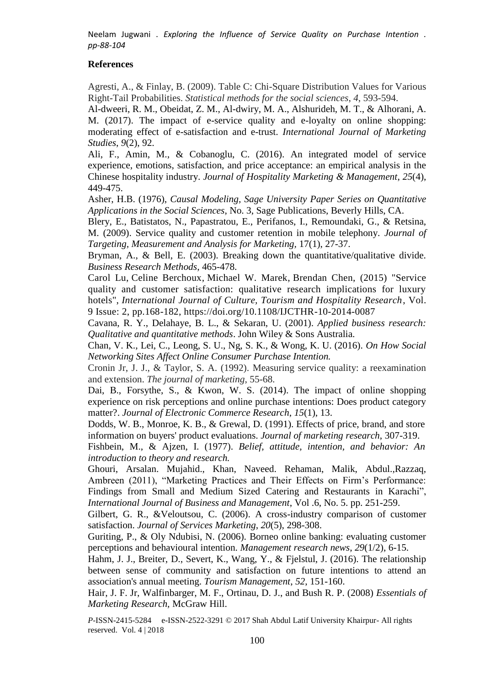### **References**

Agresti, A., & Finlay, B. (2009). Table C: Chi-Square Distribution Values for Various Right-Tail Probabilities. *Statistical methods for the social sciences*, *4*, 593-594.

Al-dweeri, R. M., Obeidat, Z. M., Al-dwiry, M. A., Alshurideh, M. T., & Alhorani, A. M. (2017). The impact of e-service quality and e-loyalty on online shopping: moderating effect of e-satisfaction and e-trust. *International Journal of Marketing Studies*, *9*(2), 92.

Ali, F., Amin, M., & Cobanoglu, C. (2016). An integrated model of service experience, emotions, satisfaction, and price acceptance: an empirical analysis in the Chinese hospitality industry. *Journal of Hospitality Marketing & Management*, *25*(4), 449-475.

Asher, H.B. (1976), *Causal Modeling, Sage University Paper Series on Quantitative Applications in the Social Sciences*, No. 3, Sage Publications, Beverly Hills, CA.

Blery, E., Batistatos, N., Papastratou, E., Perifanos, I., Remoundaki, G., & Retsina, M. (2009). Service quality and customer retention in mobile telephony. *Journal of Targeting, Measurement and Analysis for Marketing,* 17(1), 27-37.

Bryman, A., & Bell, E. (2003). Breaking down the quantitative/qualitative divide. *Business Research Methods*, 465-478.

[Carol Lu,](http://www.emeraldinsight.com/author/Lu%2C+Carol) [Celine Berchoux,](http://www.emeraldinsight.com/author/Berchoux%2C+Celine) [Michael W. Marek,](http://www.emeraldinsight.com/author/Marek%2C+Michael+W) [Brendan Chen,](http://www.emeraldinsight.com/author/Chen%2C+Brendan) (2015) "Service quality and customer satisfaction: qualitative research implications for luxury hotels", *International Journal of Culture, Tourism and Hospitality Research*, Vol. 9 Issue: 2, pp.168-182, <https://doi.org/10.1108/IJCTHR-10-2014-0087>

Cavana, R. Y., Delahaye, B. L., & Sekaran, U. (2001). *Applied business research: Qualitative and quantitative methods*. John Wiley & Sons Australia.

Chan, V. K., Lei, C., Leong, S. U., Ng, S. K., & Wong, K. U. (2016). *On How Social Networking Sites Affect Online Consumer Purchase Intention.*

Cronin Jr, J. J., & Taylor, S. A. (1992). Measuring service quality: a reexamination and extension. *The journal of marketing*, 55-68.

Dai, B., Forsythe, S., & Kwon, W. S. (2014). The impact of online shopping experience on risk perceptions and online purchase intentions: Does product category matter?. *Journal of Electronic Commerce Research*, *15*(1), 13.

Dodds, W. B., Monroe, K. B., & Grewal, D. (1991). Effects of price, brand, and store information on buyers' product evaluations. *Journal of marketing research*, 307-319.

Fishbein, M., & Ajzen, I. (1977). *Belief, attitude, intention, and behavior: An introduction to theory and research.*

Ghouri, Arsalan. Mujahid., Khan, Naveed. Rehaman, Malik, Abdul.,Razzaq, Ambreen (2011), "Marketing Practices and Their Effects on Firm's Performance: Findings from Small and Medium Sized Catering and Restaurants in Karachi", *International Journal of Business and Management*, Vol .6, No. 5. pp. 251-259.

Gilbert, G. R., &Veloutsou, C. (2006). A cross-industry comparison of customer satisfaction. *Journal of Services Marketing*, *20*(5), 298-308.

Guriting, P., & Oly Ndubisi, N. (2006). Borneo online banking: evaluating customer perceptions and behavioural intention. *Management research news*, *29*(1/2), 6-15.

Hahm, J. J., Breiter, D., Severt, K., Wang, Y., & Fjelstul, J. (2016). The relationship between sense of community and satisfaction on future intentions to attend an association's annual meeting. *Tourism Management*, *52*, 151-160.

Hair, J. F. Jr, Walfinbarger, M. F., Ortinau, D. J., and Bush R. P. (2008) *Essentials of Marketing Research,* McGraw Hill.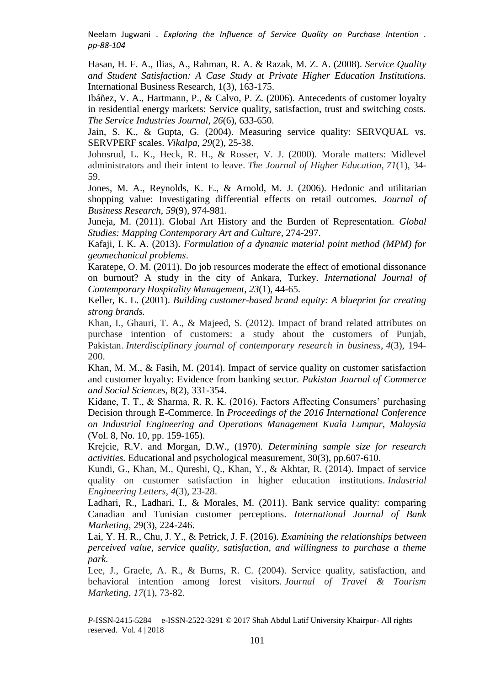Hasan, H. F. A., Ilias, A., Rahman, R. A. & Razak, M. Z. A. (2008). *Service Quality and Student Satisfaction: A Case Study at Private Higher Education Institutions.* International Business Research, 1(3), 163-175.

Ibáñez, V. A., Hartmann, P., & Calvo, P. Z. (2006). Antecedents of customer loyalty in residential energy markets: Service quality, satisfaction, trust and switching costs. *The Service Industries Journal*, *26*(6), 633-650.

Jain, S. K., & Gupta, G. (2004). Measuring service quality: SERVQUAL vs. SERVPERF scales. *Vikalpa*, *29*(2), 25-38.

Johnsrud, L. K., Heck, R. H., & Rosser, V. J. (2000). Morale matters: Midlevel administrators and their intent to leave. *The Journal of Higher Education*, *71*(1), 34- 59.

Jones, M. A., Reynolds, K. E., & Arnold, M. J. (2006). Hedonic and utilitarian shopping value: Investigating differential effects on retail outcomes. *Journal of Business Research*, *59*(9), 974-981.

Juneja, M. (2011). Global Art History and the Burden of Representation. *Global Studies: Mapping Contemporary Art and Culture*, 274-297.

Kafaji, I. K. A. (2013). *Formulation of a dynamic material point method (MPM) for geomechanical problems*.

Karatepe, O. M. (2011). Do job resources moderate the effect of emotional dissonance on burnout? A study in the city of Ankara, Turkey. *International Journal of Contemporary Hospitality Management*, *23*(1), 44-65.

Keller, K. L. (2001). *Building customer-based brand equity: A blueprint for creating strong brands.*

Khan, I., Ghauri, T. A., & Majeed, S. (2012). Impact of brand related attributes on purchase intention of customers: a study about the customers of Punjab, Pakistan. *Interdisciplinary journal of contemporary research in business*, *4*(3), 194- 200.

Khan, M. M., & Fasih, M. (2014). Impact of service quality on customer satisfaction and customer loyalty: Evidence from banking sector. *Pakistan Journal of Commerce and Social Sciences,* 8(2), 331-354.

Kidane, T. T., & Sharma, R. R. K. (2016). Factors Affecting Consumers' purchasing Decision through E-Commerce. In *Proceedings of the 2016 International Conference on Industrial Engineering and Operations Management Kuala Lumpur, Malaysia* (Vol. 8, No. 10, pp. 159-165).

Krejcie, R.V. and Morgan, D.W., (1970). *Determining sample size for research activities.* Educational and psychological measurement, 30(3), pp.607-610.

Kundi, G., Khan, M., Qureshi, Q., Khan, Y., & Akhtar, R. (2014). Impact of service quality on customer satisfaction in higher education institutions. *Industrial Engineering Letters*, *4*(3), 23-28.

Ladhari, R., Ladhari, I., & Morales, M. (2011). Bank service quality: comparing Canadian and Tunisian customer perceptions. *International Journal of Bank Marketing,* 29(3), 224-246.

Lai, Y. H. R., Chu, J. Y., & Petrick, J. F. (2016). *Examining the relationships between perceived value, service quality, satisfaction, and willingness to purchase a theme park.*

Lee, J., Graefe, A. R., & Burns, R. C. (2004). Service quality, satisfaction, and behavioral intention among forest visitors. *Journal of Travel & Tourism Marketing*, *17*(1), 73-82.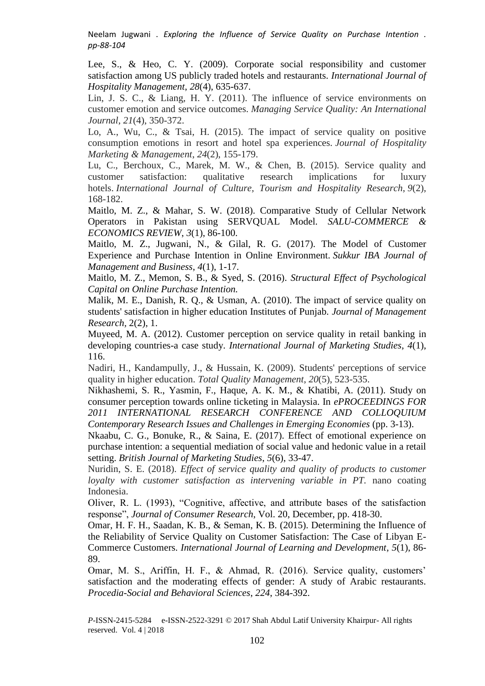Lee, S., & Heo, C. Y. (2009). Corporate social responsibility and customer satisfaction among US publicly traded hotels and restaurants. *International Journal of Hospitality Management*, *28*(4), 635-637.

Lin, J. S. C., & Liang, H. Y. (2011). The influence of service environments on customer emotion and service outcomes. *Managing Service Quality: An International Journal*, *21*(4), 350-372.

Lo, A., Wu, C., & Tsai, H. (2015). The impact of service quality on positive consumption emotions in resort and hotel spa experiences. *Journal of Hospitality Marketing & Management*, *24*(2), 155-179.

Lu, C., Berchoux, C., Marek, M. W., & Chen, B. (2015). Service quality and customer satisfaction: qualitative research implications for luxury hotels. *International Journal of Culture, Tourism and Hospitality Research*, *9*(2), 168-182.

Maitlo, M. Z., & Mahar, S. W. (2018). Comparative Study of Cellular Network Operators in Pakistan using SERVQUAL Model. *SALU-COMMERCE & ECONOMICS REVIEW*, *3*(1), 86-100.

Maitlo, M. Z., Jugwani, N., & Gilal, R. G. (2017). The Model of Customer Experience and Purchase Intention in Online Environment. *Sukkur IBA Journal of Management and Business*, *4*(1), 1-17.

Maitlo, M. Z., Memon, S. B., & Syed, S. (2016). *Structural Effect of Psychological Capital on Online Purchase Intention.*

Malik, M. E., Danish, R. Q., & Usman, A. (2010). The impact of service quality on students' satisfaction in higher education Institutes of Punjab. *Journal of Management Research,* 2(2), 1.

Muyeed, M. A. (2012). Customer perception on service quality in retail banking in developing countries-a case study. *International Journal of Marketing Studies*, *4*(1), 116.

Nadiri, H., Kandampully, J., & Hussain, K. (2009). Students' perceptions of service quality in higher education. *Total Quality Management*, *20*(5), 523-535.

Nikhashemi, S. R., Yasmin, F., Haque, A. K. M., & Khatibi, A. (2011). Study on consumer perception towards online ticketing in Malaysia. In *ePROCEEDINGS FOR 2011 INTERNATIONAL RESEARCH CONFERENCE AND COLLOQUIUM Contemporary Research Issues and Challenges in Emerging Economies* (pp. 3-13).

Nkaabu, C. G., Bonuke, R., & Saina, E. (2017). Effect of emotional experience on purchase intention: a sequential mediation of social value and hedonic value in a retail setting. *British Journal of Marketing Studies*, *5*(6), 33-47.

Nuridin, S. E. (2018). *Effect of service quality and quality of products to customer loyalty with customer satisfaction as intervening variable in PT.* nano coating Indonesia.

Oliver, R. L. (1993), "Cognitive, affective, and attribute bases of the satisfaction response", *Journal of Consumer Research*, Vol. 20, December, pp. 418-30.

Omar, H. F. H., Saadan, K. B., & Seman, K. B. (2015). Determining the Influence of the Reliability of Service Quality on Customer Satisfaction: The Case of Libyan E-Commerce Customers. *International Journal of Learning and Development*, *5*(1), 86- 89.

Omar, M. S., Ariffin, H. F., & Ahmad, R. (2016). Service quality, customers' satisfaction and the moderating effects of gender: A study of Arabic restaurants. *Procedia-Social and Behavioral Sciences*, *224*, 384-392.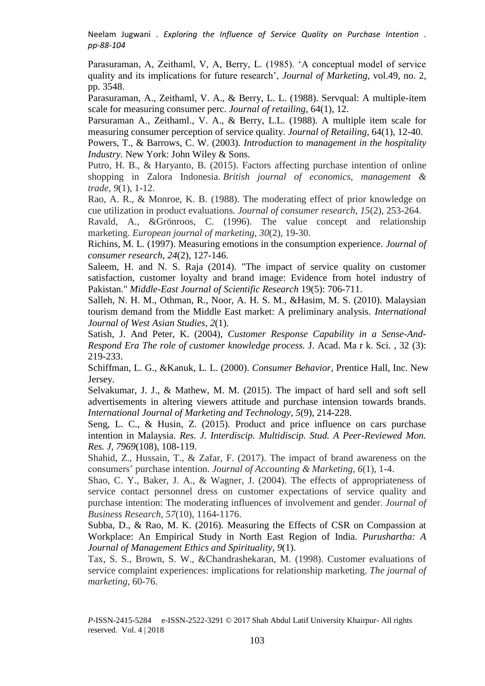Parasuraman, A, Zeithaml, V, A, Berry, L. (1985). 'A conceptual model of service quality and its implications for future research', *Journal of Marketing*, vol.49, no. 2, pp. 3548.

Parasuraman, A., Zeithaml, V. A., & Berry, L. L. (1988). Servqual: A multiple-item scale for measuring consumer perc. *Journal of retailing*, 64(1), 12.

Parsuraman A., Zeithaml., V. A., & Berry, L.L. (1988). A multiple item scale for measuring consumer perception of service quality. *Journal of Retailing*, 64(1), 12-40.

Powers, T., & Barrows, C. W. (2003). *Introduction to management in the hospitality Industry.* New York: John Wiley & Sons.

Putro, H. B., & Haryanto, B. (2015). Factors affecting purchase intention of online shopping in Zalora Indonesia. *British journal of economics, management & trade*, *9*(1), 1-12.

Rao, A. R., & Monroe, K. B. (1988). The moderating effect of prior knowledge on cue utilization in product evaluations. *Journal of consumer research*, *15*(2), 253-264.

Ravald, A., &Grönroos, C. (1996). The value concept and relationship marketing. *European journal of marketing*, *30*(2), 19-30.

Richins, M. L. (1997). Measuring emotions in the consumption experience. *Journal of consumer research*, *24*(2), 127-146.

Saleem, H. and N. S. Raja (2014). "The impact of service quality on customer satisfaction, customer loyalty and brand image: Evidence from hotel industry of Pakistan." *Middle-East Journal of Scientific Research* 19(5): 706-711.

Salleh, N. H. M., Othman, R., Noor, A. H. S. M., &Hasim, M. S. (2010). Malaysian tourism demand from the Middle East market: A preliminary analysis. *International Journal of West Asian Studies*, *2*(1).

Satish, J. And Peter, K. (2004), *Customer Response Capability in a Sense-And-Respond Era The role of customer knowledge process.* J. Acad. Ma r k. Sci. , 32 (3): 219-233.

Schiffman, L. G., &Kanuk, L. L. (2000). *Consumer Behavior*, Prentice Hall, Inc. New Jersey.

Selvakumar, J. J., & Mathew, M. M. (2015). The impact of hard sell and soft sell advertisements in altering viewers attitude and purchase intension towards brands. *International Journal of Marketing and Technology*, *5*(9), 214-228.

Seng, L. C., & Husin, Z. (2015). Product and price influence on cars purchase intention in Malaysia. *Res. J. Interdiscip. Multidiscip. Stud. A Peer-Reviewed Mon. Res. J*, *7969*(108), 108-119.

Shahid, Z., Hussain, T., & Zafar, F. (2017). The impact of brand awareness on the consumers' purchase intention. *Journal of Accounting & Marketing*, *6*(1), 1-4.

Shao, C. Y., Baker, J. A., & Wagner, J. (2004). The effects of appropriateness of service contact personnel dress on customer expectations of service quality and purchase intention: The moderating influences of involvement and gender. *Journal of Business Research*, *57*(10), 1164-1176.

Subba, D., & Rao, M. K. (2016). Measuring the Effects of CSR on Compassion at Workplace: An Empirical Study in North East Region of India. *Purushartha: A Journal of Management Ethics and Spirituality*, *9*(1).

Tax, S. S., Brown, S. W., &Chandrashekaran, M. (1998). Customer evaluations of service complaint experiences: implications for relationship marketing. *The journal of marketing*, 60-76.